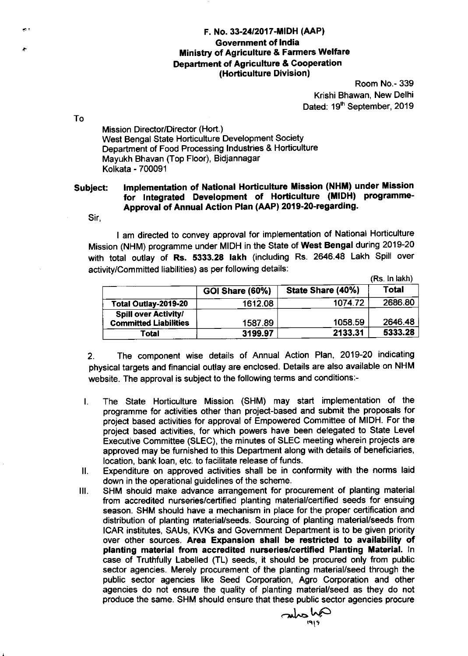## F. No. 33-24/2017-MIDH (AAP) Government of India Ministry of Agriculture & Farmers Wetfare Department of Agriculture & Cooperation (Horticulture Division)

Room No.- 339 Krishi Bhawan, New Delhi Dated: 19<sup>th</sup> September, 2019

To

a.

 $\sim$ 

Mission Director/Director (Hort.) West Bengal State Horticulture Development Society Department of Food Processing lndustries & Horticulture Mayukh Bhavan (Top Floor), Bidjannagar Kolkata - 700091

## Subject: Implementation of National Horticulture Mission (NHM) under Mission for lntegrated Development of Horticulture (MIDH) programme-Approval of Annual Action Plan (AAP) 2019-20-regarding'

Sir,

I am directed to convey approval for implementation of National Horticulture Mission (NHM) programme under MIDH in the State of West Bengal during 2O19-2O with total outlay of Rs. 5333.28 lakh (including Rs. 2646.48 Lakh Spill over activity/Committed liabilities) as per following details:

(Rs. ln lakh)

|                                                             |                        |                   | US. III KIWI |
|-------------------------------------------------------------|------------------------|-------------------|--------------|
|                                                             | <b>GOI Share (60%)</b> | State Share (40%) | <b>Total</b> |
| Total Outlay-2019-20                                        | 1612.08                | 1074.72           | 2686.80      |
| <b>Spill over Activity/</b><br><b>Committed Liabilities</b> | 1587.89                | 1058.59           | 2646.48      |
| Total                                                       | 3199.97                | 2133.31           | 5333.28      |

2. The component wise details of Annual Action Plan, 2019-20 indicating physical targets and financial outlay are enclosed. Details are also available on NHM website. The approval is subject to the following terms and conditions:-

- The State Horticulture Mission (SHM) may start implementation of the  $\mathbf{I}$ . programme for activities other than project-based and submit the proposals for project based activities for approval of Empowered Committee of MIDH. For the project based activities, for which powers have been delegated to State Level Executive Committee (SLEC), the minutes of SLEC meeting wherein projects are approved may be fumished to this Department along with details of beneflciaries, location, bank loan, etc. to facilitate release of funds.
- il. Expenditure on approved activities shall be in conformity with the norms laid down in the operational guidelines of the scheme.
- SHM should make advance arrangement for procurement of planting material from accredited nurseries/certified planting material/certified seeds for ensuing season. SHM should have a mechanism in place for the proper certification and distribution of planting material/seeds. Sourcing of planting material/seeds from ICAR institutes, SAUs, KVKs and Government Department is to be given priority over other sources. Area Expansion shall be restricted to availability of planting material from accredited nurseries/certified Planting Material. In case of Truthfully Labelled (TL) seeds, it should be procured only from public sector agencies. Merely procurement of the planting material/seed through the public sector agencies like Seed Corporation, Agro Corporation and other agencies do not ensure the quality of planting material/seed as they do not produce the same. SHM should ensure that these public sector agencies procure  $III.$

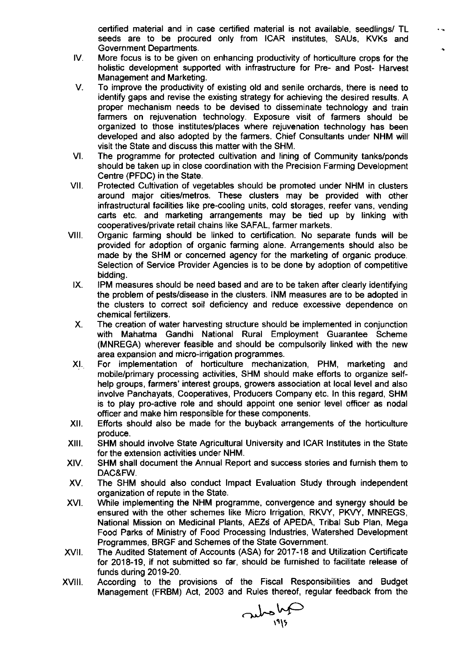certified material and in case certified material is not available, seedlings/ TL seeds are to be procured only from ICAR institutes, SAUs, KVKs and Government Departments.

 $\ddot{\phantom{a}}$ 

- More focus is to be given on enhancing productivity of horticulture crops for the holistic development supported with infrastructure for Pre- and Post- Harvest Management and Marketing. IV
- V. To improve the productivity of existing old and senile orchards, there is need to identify gaps and revise the existing strategy for achieving the desired results. A proper mechanism needs to be devised to disseminate technology and train farmers on rejuvenation technology. Exposure visit of farmers should be organized to those institutes/places where rejuvenation technology has been developed and also adopted by the farmers. Chief Consultants under NHM will visit the State and discuss this matter with the SHM.
- The programme for protected cultivation and lining of Community tanks/ponds should be taken up in close coordination with the Precision Farming Development Centre (PFDC) in the State. VI
- Protected Cultivation of vegetables should be promoted under NHM in clusters around major cities/metros. These clusters may be provided with other infrastructural facilities like pre-cooling units, cold storages, reefer vans, vending carts etc. and marketing arrangements may be tied up by linking with cooperatives/private retail chains like SAFAL, farmer markets. vil
- Organic farming should be linked to certification. No separate funds will be provided for adoption of organic farming alone. Arrangements should also be made by the SHM or concerned agency for the marketing of organic produce. Selection of Service Provider Agencies is to be done by adoption of competitive bidding. VIII.
	- IPM measures should be need based and are to be taken after clearly identifying the problem of pests/disease in the clusters. INM measures are to be adopted in the clusters to correct soil deficiency and reduce excessive dependence on chemical fertilizers. IX
	- The creation of water harvesting structure should be implemented in conjunction with Mahatma Gandhi National Rural Employment Guarantee Scheme (MNREGA) wherever feasible and should be compulsorily linked with the new area expansion and micro-irrigation programmes. X.
- For implementation of horticulture mechanization, PHM, marketing and mobile/primary processing activities, SHM should make efforts to organize selfhelp groups, farmers' interest groups, growers association at local level and also involve Panchayats, Cooperatives, Producers Company etc. ln this regard, SHM is to play pro-active role and should appoint one senior level officer as nodal officer and make him responsible for these components. XI
- Efforts should also be made for the buyback arrangements of the horticulture produce. XII.
- SHM should involve State Agricultural University and ICAR lnstitutes in the State for the extension activities under NHM. xlll
- SHM shall document the Annual Report and success stories and furnish them to DAC&FW. XIV.
- The SHM should also conduct lmpact Evaluation Study through independent organization of repute in the State. XV
- While implementing the NHM programme, convergence and synergy should be ensured with the other schemes like Micro lrrigation, RKVY, PKVY, MNREGS, National Mission on Medicinal Plants, AEZs of APEDA, Tribal Sub Plan, Mega Food Parks of Ministry of Food Processing lndustries, Watershed Development Programmes, BRGF and Schemes of the State Government. xvt
- The Audited Statement of Accounts (ASA) for 2017-18 and Utilization Certificate for 2018-19, if not submitted so far, should be furnished to facilitate release of funds during 2019-20. xvll
- According to the provisions of the Fiscal Responsibilities and Budget Management (FRBM) Act, 2003 and Rules thereof, regular feedback from the xviii.

 $\sum_{19|5}$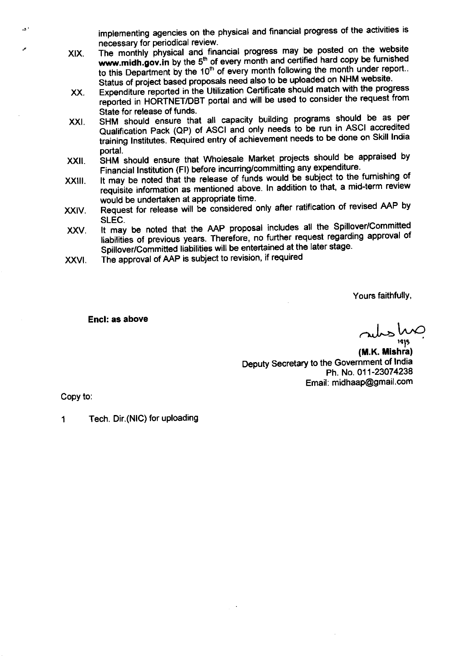implementing agencies on the physical and financial progress of the activities is necessary for periodical review.

- The monthly physical and financial progress may be posted on the website  $x$  is the month  $y$  product that  $\frac{1}{2}$  is the state property month and certified hard copy be furnished to this Department by the 10<sup>th</sup> of every month following the month under report.. Status of project based proposals need also to be uploaded on NHM website. XIX.
- Expenditure reported in the Utilization Certificate should match with the progress reported in HORTNET/DBT portal and will be used to consider the request from State for release of funds. XX
- SHM should ensure that all capacity building programs should be as per Qualification Pack (QP) of ASCI and only needs to be run in ASCI accredited training Institutes. Required entry of achievement needs to be done on Skill India portal. xxl
- **INU should ensure that Wholesale Market projects should be appraised by** Financial Institution (FI) before incurring/committing any expenditure. XXII
- It may be noted that the release of funds would be subject to the furnishing of requisite information as mentioned above. In addition to that, a mid-term review would be undertaken at appropriate time. xxlil.
- Request for release will be considered only after ratification of revised AAP by SLEC. XXIV
- It may be noted that the AAP proposal includes all the Spillover/Committed liabilities of previous years. Therefore, no further request regarding approval of Spillover/Committed liabilities will be entertained at the later stage. xxv
- The approval of AAP is subject to revision, if required XXVI

Yours faithfullY,

Encl: as above

rubs hn

(M.K. Mishra) Deputy Secretary to the Govemment of lndia Ph. No. 011-23074238 Email: midhaap@gmail.com

Copy to

 $\overline{a}$ 

1 Tech. Dir. (NIC) for uploading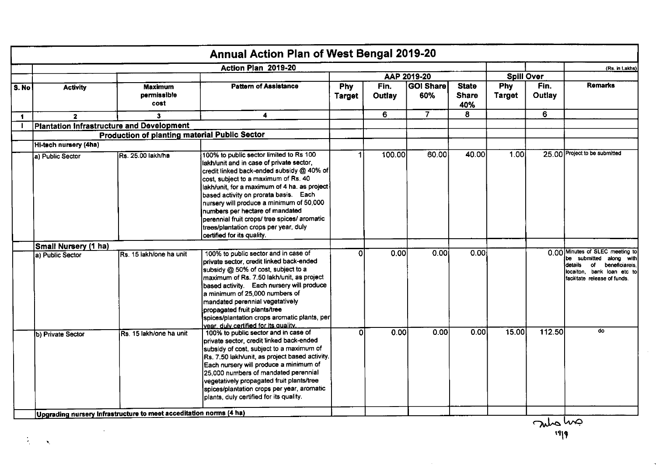|                      |                                           |                                               | Action Plan 2019-20                                                                                                                                                                                                                                                                                                                                                                                                                                                     |                             |                   |                    |                                     |                             |                | (Rs. in Lakhs)                                                                                                                                                      |
|----------------------|-------------------------------------------|-----------------------------------------------|-------------------------------------------------------------------------------------------------------------------------------------------------------------------------------------------------------------------------------------------------------------------------------------------------------------------------------------------------------------------------------------------------------------------------------------------------------------------------|-----------------------------|-------------------|--------------------|-------------------------------------|-----------------------------|----------------|---------------------------------------------------------------------------------------------------------------------------------------------------------------------|
|                      |                                           |                                               |                                                                                                                                                                                                                                                                                                                                                                                                                                                                         |                             |                   | AAP 2019-20        |                                     | <b>Spill Over</b>           |                |                                                                                                                                                                     |
| S. No                | <b>Activity</b>                           | <b>Maximum</b><br>permissible<br>cost         | <b>Pattern of Assistance</b>                                                                                                                                                                                                                                                                                                                                                                                                                                            | <b>Phy</b><br><b>Target</b> | Fin.<br>Outlay    | │GOI Share│<br>60% | <b>State</b><br><b>Share</b><br>40% | <b>Phy</b><br><b>Target</b> | Fin.<br>Outlay | <b>Remarks</b>                                                                                                                                                      |
| $\blacktriangleleft$ | $\mathbf{2}$                              | 3                                             | 4                                                                                                                                                                                                                                                                                                                                                                                                                                                                       |                             | 6                 | $\overline{7}$     | 8                                   |                             | 6              |                                                                                                                                                                     |
|                      | Plantation Infrastructure and Development |                                               |                                                                                                                                                                                                                                                                                                                                                                                                                                                                         |                             |                   |                    |                                     |                             |                |                                                                                                                                                                     |
|                      |                                           | Production of planting material Public Sector |                                                                                                                                                                                                                                                                                                                                                                                                                                                                         |                             |                   |                    |                                     |                             |                |                                                                                                                                                                     |
|                      | Hi-tech nursery (4ha)                     |                                               |                                                                                                                                                                                                                                                                                                                                                                                                                                                                         |                             |                   |                    |                                     |                             |                |                                                                                                                                                                     |
|                      | a) Public Sector                          | Rs. 25.00 lakh/ha                             | 100% to public sector limited to Rs 100<br>lakh/unit and in case of private sector,<br>credit linked back-ended subsidy @ 40% of<br>cost, subject to a maximum of Rs. 40<br>lakh/unit, for a maximum of 4 ha. as project<br>based activity on prorata basis. Each<br>nursery will produce a minimum of 50,000<br>numbers per hectare of mandated<br>perennial fruit crops/ tree spices/ aromatic<br>trees/plantation crops per year, duly<br>certified for its quality. |                             | 100.00            | 60.00              | 40.00                               | 1.00 <sub>l</sub>           |                | 25.00 Project to be submitted                                                                                                                                       |
|                      | Small Nursery (1 ha)                      |                                               |                                                                                                                                                                                                                                                                                                                                                                                                                                                                         |                             |                   |                    |                                     |                             |                |                                                                                                                                                                     |
|                      | a) Public Sector                          | Rs. 15 lakh/one ha unit                       | 100% to public sector and in case of<br>private sector, credit linked back-ended<br>subsidy @ 50% of cost, subject to a<br>maximum of Rs. 7.50 lakh/unit, as project<br>based activity. Each nursery will produce<br>a minimum of 25,000 numbers of<br>mandated perennial vegetatively<br>propagated fruit plants/tree<br>spices/plantation crops aromatic plants, per<br>vear, duly certified for its quality.                                                         | ٥l                          | 0.00 <sub>l</sub> | 0.00               | 0.00                                |                             |                | 0.00 Minutes of SLEC meeting to<br>be submitted<br>along with<br>details<br>of<br>beneficiareis<br>locaiton, bank loan etc to<br>facilitate release of funds.<br>do |
|                      | b) Private Sector                         | Rs. 15 lakh/one ha unit                       | 100% to public sector and in case of<br>private sector, credit linked back-ended<br>subsidy of cost, subject to a maximum of<br>Rs. 7.50 lakh/unit, as project based activity.<br>Each nursery will produce a minimum of<br>25,000 numbers of mandated perennial<br>vegetatively propagated fruit plants/tree<br>spices/plantation crops per year, aromatic<br>plants, duly certified for its quality.                                                                  | $\Omega$                    | 0.00              | 0.00               | 0.00                                | 15.00                       | 112.50         |                                                                                                                                                                     |

 $\sim 10$ 

 $\tilde{\mathcal{A}}_{\text{max}}$ 

and one

 $\sim 10^{-1}$ 

÷,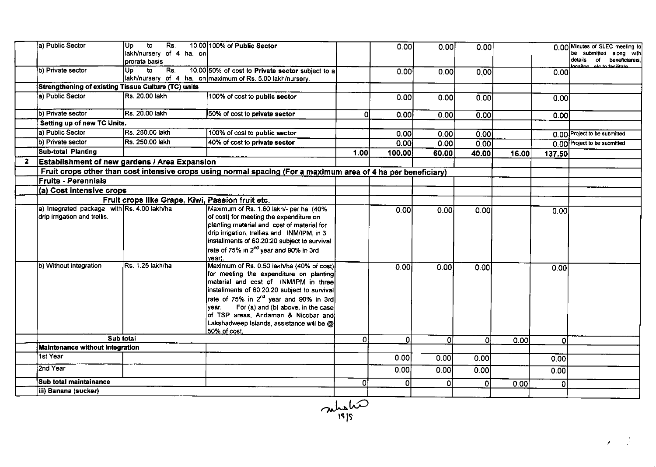|              | a) Public Sector                                                                                       | $\overline{5}$<br>Rs<br>lUp -<br>lakh/nursery of 4 ha, on<br>prorata basis | 10.00 100% of Public Sector                                                                                                                                                                                                                                                                                                                                                                                                                                                      |               | 0.00         | 0.00         | 0.00           |       |              | 0.00 Minutes of SLEC meeting to<br>be submitted along with<br>details of beneficiareis,<br>ocaiton ato to facilitate |
|--------------|--------------------------------------------------------------------------------------------------------|----------------------------------------------------------------------------|----------------------------------------------------------------------------------------------------------------------------------------------------------------------------------------------------------------------------------------------------------------------------------------------------------------------------------------------------------------------------------------------------------------------------------------------------------------------------------|---------------|--------------|--------------|----------------|-------|--------------|----------------------------------------------------------------------------------------------------------------------|
|              | b) Private sector                                                                                      | $Up$ to<br>Rs.                                                             | 10.00 50% of cost to Private sector subject to a<br>lakh/nursery of 4 ha, on maximum of Rs. 5.00 lakh/nursery.                                                                                                                                                                                                                                                                                                                                                                   |               | 0.001        | 0.00         | 0.00           |       | 0.00         |                                                                                                                      |
|              | <b>Strengthening of existing Tissue Culture (TC) units</b>                                             |                                                                            |                                                                                                                                                                                                                                                                                                                                                                                                                                                                                  |               |              |              |                |       |              |                                                                                                                      |
|              | la) Public Sector                                                                                      | IRs. 20.00 lakh                                                            | 100% of cost to public sector                                                                                                                                                                                                                                                                                                                                                                                                                                                    |               | 0.00         | 0.00         | 0.00           |       | 0.00         |                                                                                                                      |
|              | b) Private sector                                                                                      | lRs. 20.00 lakh                                                            | 50% of cost to private sector                                                                                                                                                                                                                                                                                                                                                                                                                                                    | οI            | 0.00         | 0.00         | 0.00           |       | 0.00         |                                                                                                                      |
|              | Setting up of new TC Units.                                                                            |                                                                            |                                                                                                                                                                                                                                                                                                                                                                                                                                                                                  |               |              |              |                |       |              |                                                                                                                      |
|              | a) Public Sector                                                                                       | Rs. 250 00 lakh                                                            | 100% of cost to public sector                                                                                                                                                                                                                                                                                                                                                                                                                                                    |               | 0.00         | 0.00         | 0.00           |       |              | 0.00 Project to be submitted                                                                                         |
|              | b) Private sector                                                                                      | Rs. 250.00 lakh                                                            | 40% of cost to private sector                                                                                                                                                                                                                                                                                                                                                                                                                                                    |               | 0.00         | 0.00         | 0.00           |       |              | 0.00 Project to be submitted                                                                                         |
|              | Sub-total Planting                                                                                     |                                                                            |                                                                                                                                                                                                                                                                                                                                                                                                                                                                                  | 1.00          | 100.00       | 60.00        | 40.00          | 16.00 | 137.50       |                                                                                                                      |
| $\mathbf{2}$ | <b>Establishment of new gardens / Area Expansion</b>                                                   |                                                                            |                                                                                                                                                                                                                                                                                                                                                                                                                                                                                  |               |              |              |                |       |              |                                                                                                                      |
|              |                                                                                                        |                                                                            | Fruit crops other than cost intensive crops using normal spacing (For a maximum area of 4 ha per beneficiary)                                                                                                                                                                                                                                                                                                                                                                    |               |              |              |                |       |              |                                                                                                                      |
|              | <b>Fruits - Perennials</b>                                                                             |                                                                            |                                                                                                                                                                                                                                                                                                                                                                                                                                                                                  |               |              |              |                |       |              |                                                                                                                      |
|              | (a) Cost intensive crops                                                                               |                                                                            |                                                                                                                                                                                                                                                                                                                                                                                                                                                                                  |               |              |              |                |       |              |                                                                                                                      |
|              |                                                                                                        | Fruit crops like Grape, Kiwi, Passion fruit etc.                           |                                                                                                                                                                                                                                                                                                                                                                                                                                                                                  |               |              |              |                |       |              |                                                                                                                      |
|              | a) Integrated package with Rs. 4.00 lakh/ha.<br>drip irrigation and trellis.<br>b) Without integration | Rs. 1.25 lakh/ha                                                           | Maximum of Rs. 1.60 lakh/- per ha. (40%<br>of cost) for meeting the expenditure on<br>planting material and cost of material for<br>drip irrigation, trellies and INM/IPM, in 3<br>installments of 60:20:20 subject to survival<br>rate of 75% in 2 <sup>nd</sup> year and 90% in 3rd<br>vear).<br>Maximum of Rs. 0.50 lakh/ha (40% of cost)<br>for meeting the expenditure on planting<br>material and cost of INM/IPM in three<br>installments of 60:20:20 subject to survival |               | 0.00<br>0.00 | 0.00<br>0.00 | 0.001<br>0.00  |       | 0.00<br>0.00 |                                                                                                                      |
|              |                                                                                                        |                                                                            | rate of 75% in 2 <sup>nd</sup> year and 90% in 3rd<br>For (a) and (b) above, in the case<br>ivear.<br>of TSP areas, Andaman & Nicobar and<br>Lakshadweep Islands, assistance will be @<br>50% of cost.                                                                                                                                                                                                                                                                           |               |              |              |                |       |              |                                                                                                                      |
|              |                                                                                                        | Sub total                                                                  |                                                                                                                                                                                                                                                                                                                                                                                                                                                                                  | οl            | οl           | ΩI           | $\overline{0}$ | 0.00  | 0            |                                                                                                                      |
|              | <b>Maintenance without Integration</b>                                                                 |                                                                            |                                                                                                                                                                                                                                                                                                                                                                                                                                                                                  |               |              |              |                |       |              |                                                                                                                      |
|              | 1st Year                                                                                               |                                                                            |                                                                                                                                                                                                                                                                                                                                                                                                                                                                                  |               | 0.001        | 0.00         | 0.001          |       | 0.00         |                                                                                                                      |
|              | 2nd Year                                                                                               |                                                                            |                                                                                                                                                                                                                                                                                                                                                                                                                                                                                  |               | 0.00         | 0.00         | 0.00           |       | 0.00         |                                                                                                                      |
|              | <b>Sub total maintainance</b>                                                                          |                                                                            |                                                                                                                                                                                                                                                                                                                                                                                                                                                                                  | ΩI            | O.           | 0            | οI             | 0.00  | 0            |                                                                                                                      |
|              | iii) Banana (sucker)                                                                                   |                                                                            |                                                                                                                                                                                                                                                                                                                                                                                                                                                                                  |               |              |              |                |       |              |                                                                                                                      |
|              |                                                                                                        |                                                                            |                                                                                                                                                                                                                                                                                                                                                                                                                                                                                  | mishe<br>1010 |              |              |                |       |              |                                                                                                                      |

ls ls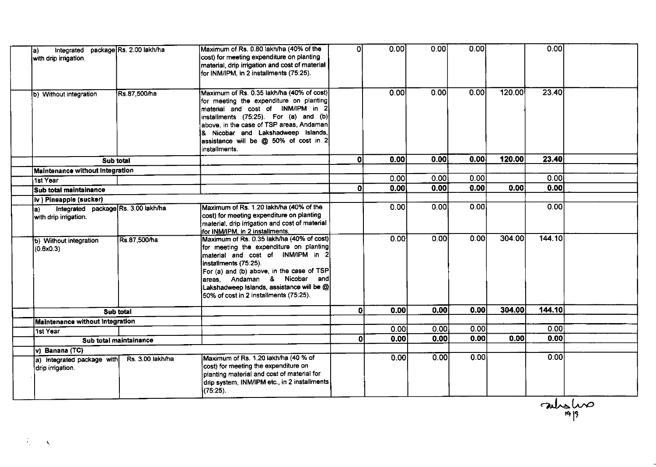| Integrated<br>la)<br>with drip irrigation.                           | package Rs. 2.00 lakh/ha | Maximum of Rs. 0.80 lakh/ha (40% of the<br>cost) for meeting expenditure on planting<br>material, drip irrigation and cost of material<br>for INM/IPM, in 2 installments (75:25).                                                                                                                                      | ΩI           | 0.00  | 0.00 | 0.00 |        | 0.00   |  |
|----------------------------------------------------------------------|--------------------------|------------------------------------------------------------------------------------------------------------------------------------------------------------------------------------------------------------------------------------------------------------------------------------------------------------------------|--------------|-------|------|------|--------|--------|--|
| b) Without integration                                               | Rs.87,500/ha             | Maximum of Rs. 0.35 lakh/ha (40% of cost)<br>for meeting the expenditure on planting<br>material and cost of INM/IPM in 2<br>installments $(75:25)$ . For $(a)$ and $(b)$<br>above, in the case of TSP areas, Andaman<br>& Nicobar and Lakshadweep Islands,<br>assistance will be @ 50% of cost in 2<br>installments.  |              | 0.00  | 0.00 | 0.00 | 120.00 | 23.40  |  |
| Sub total                                                            |                          |                                                                                                                                                                                                                                                                                                                        | 0l           | 0.00  | 0.00 | 0.00 | 120.00 | 23.40  |  |
| <b>Maintenance without Integration</b>                               |                          |                                                                                                                                                                                                                                                                                                                        |              |       |      |      |        |        |  |
| 1st Year                                                             |                          |                                                                                                                                                                                                                                                                                                                        |              | 0.00  | 0.00 | 0.00 |        | 0.00   |  |
| Sub total maintainance                                               |                          |                                                                                                                                                                                                                                                                                                                        | $\mathbf{0}$ | 0.00  | 0.00 | 0.00 | 0.00   | 0.00   |  |
| iv ) Pineapple (sucker)                                              |                          |                                                                                                                                                                                                                                                                                                                        |              |       |      |      |        |        |  |
| Integrated package Rs. 3.00 lakh/ha<br>la).<br>with drip irrigation. |                          | Maximum of Rs. 1.20 lakh/ha (40% of the<br>cost) for meeting expenditure on planting<br>material, drip irrigation and cost of material<br>for INM/IPM, in 2 installments.                                                                                                                                              |              | 0.00  | 0.00 | 0.00 |        | 0.00   |  |
| b) Without integration<br>(0.6x0.3)                                  | Rs.87,500/ha             | Maximum of Rs. 0.35 lakh/ha (40% of cost)<br>for meeting the expenditure on planting<br>material and cost of INM/IPM in 2<br>installments (75:25).<br>For (a) and (b) above, in the case of TSP<br>areas, Andaman & Nicobar and<br>Lakshadweep Islands, assistance will be @<br>50% of cost in 2 installments (75:25). |              | 0.00  | 0.00 | 0.00 | 304.00 | 144.10 |  |
|                                                                      | Sub total                |                                                                                                                                                                                                                                                                                                                        | $\mathbf{0}$ | 0.00  | 0.00 | 0.00 | 304.00 | 144.10 |  |
| Maintenance without Integration                                      |                          |                                                                                                                                                                                                                                                                                                                        |              |       |      |      |        |        |  |
| 1st Year                                                             |                          |                                                                                                                                                                                                                                                                                                                        |              | 0.001 | 0.00 | 0.00 |        | 0.00   |  |
|                                                                      | Sub total maintainance   |                                                                                                                                                                                                                                                                                                                        | 0            | 0.00  | 0.00 | 0.00 | 0.00   | 0.00   |  |
| $\overline{v}$ ) Banana (TC)                                         |                          |                                                                                                                                                                                                                                                                                                                        |              |       |      |      |        |        |  |
| a) Integrated package with<br>drip irrigation.                       | Rs. 3.00 lakh/ha         | Maximum of Rs. 1.20 lakh/ha (40 % of<br>cost) for meeting the expenditure on<br>planting material and cost of material for<br>drip system, INM/IPM etc., in 2 installments<br>$(75.25)$ .                                                                                                                              |              | 0.00  | 0.00 | 0.00 |        | 0.00   |  |

austro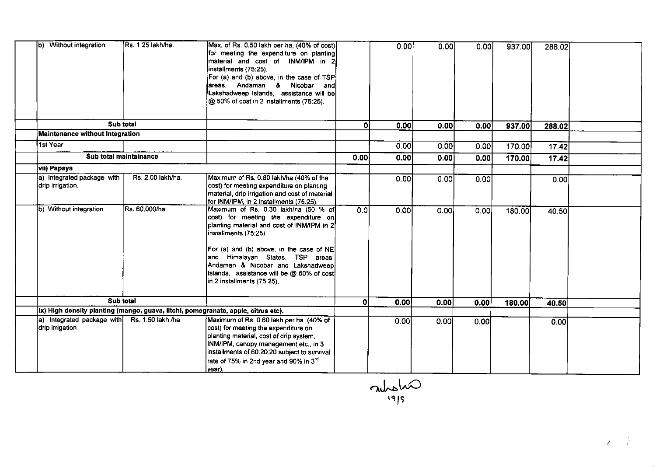| b) Without integration                                                            | Rs. 1.25 lakh/ha. | Max. of Rs. 0.50 lakh per ha, (40% of cost)<br>for meeting the expenditure on planting<br>material and cost of INM/IPM in 2<br>installments (75:25).<br>For (a) and (b) above, in the case of TSP<br>areas, Andaman & Nicobar and<br>Lakshadweep Islands, assistance will be<br>@ 50% of cost in 2 installments (75:25).                            |      | 0.00              | 0.00 | 0.00  | 937.00 | 288.02 |  |
|-----------------------------------------------------------------------------------|-------------------|-----------------------------------------------------------------------------------------------------------------------------------------------------------------------------------------------------------------------------------------------------------------------------------------------------------------------------------------------------|------|-------------------|------|-------|--------|--------|--|
|                                                                                   | Sub total         |                                                                                                                                                                                                                                                                                                                                                     | 01   | 0.00              | 0.00 | 0.00  | 937.00 | 288.02 |  |
| Maintenance without Integration                                                   |                   |                                                                                                                                                                                                                                                                                                                                                     |      |                   |      |       |        |        |  |
| 1st Year                                                                          |                   |                                                                                                                                                                                                                                                                                                                                                     |      | 0.00 <sub>l</sub> | 0.00 | 0.00  | 170.00 | 17.42  |  |
| Sub total maintainance                                                            |                   |                                                                                                                                                                                                                                                                                                                                                     | 0.00 | 0.00              | 0.00 | 0.00  | 170.00 | 17.42  |  |
| <b>Vii</b> ) Papaya                                                               |                   |                                                                                                                                                                                                                                                                                                                                                     |      |                   |      |       |        |        |  |
| a) Integrated package with<br>drip irrigation.                                    | Rs. 2.00 lakh/ha. | Maximum of Rs. 0.80 lakh/ha (40% of the<br>cost) for meeting expenditure on planting<br>material, drip irrigation and cost of material<br>for INM/IPM, in 2 installments (75:25).                                                                                                                                                                   |      | 0.00              | 0.00 | 0.00  |        | 0.00   |  |
| b) Without integration                                                            | Rs. 60,000/ha     | Maximum of Rs. 0.30 lakh/ha (50 % of<br>cost) for meeting the expenditure on<br>planting material and cost of INM/IPM in 2<br>installments (75:25).<br>For (a) and (b) above, in the case of NE<br>and Himalayan States, TSP areas,<br>Andaman & Nicobar and Lakshadweep<br>Islands, assistance will be @ 50% of cost<br>in 2 installments (75:25). | 0.0  | 0.00              | 0.00 | 0.001 | 180.00 | 40.50  |  |
|                                                                                   | Sub total         |                                                                                                                                                                                                                                                                                                                                                     | ΩI   | 0.00              | 0.00 | 0.00  | 180.00 | 40.50  |  |
| ix) High density planting (mango, guava, litchi, pomegranate, apple, citrus etc). |                   |                                                                                                                                                                                                                                                                                                                                                     |      |                   |      |       |        |        |  |
| a) Integrated package with Rs. 1.50 lakh /ha<br>drip irrigation                   |                   | Maximum of Rs. 0.60 lakh per ha. (40% of<br>cost) for meeting the expenditure on<br>planting material, cost of drip system,<br>INM/IPM, canopy management etc., in 3<br>installments of 60:20:20 subject to survival<br>rate of 75% in 2nd year and 90% in 3rd<br>lvear).                                                                           |      | 0.00              | 0.00 | 0.00  |        | 0.00   |  |

misha rel9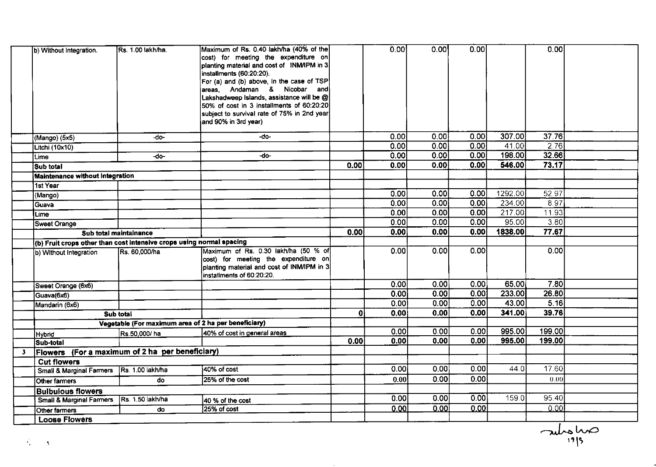|              | b) Without Integration.                                              | <b>Rs. 1.00 lakh/ha.</b> | Maximum of Rs. 0.40 lakh/ha (40% of the<br>cost) for meeting the expenditure on    |      | 0.00 | 0.00              | 0.00 |         | 0.00        |  |
|--------------|----------------------------------------------------------------------|--------------------------|------------------------------------------------------------------------------------|------|------|-------------------|------|---------|-------------|--|
|              |                                                                      |                          | planting material and cost of INM/IPM in 3<br>installments (60:20:20).             |      |      |                   |      |         |             |  |
|              |                                                                      |                          | For (a) and (b) above, in the case of TSP                                          |      |      |                   |      |         |             |  |
|              |                                                                      |                          | areas, Andaman & Nicobar and                                                       |      |      |                   |      |         |             |  |
|              |                                                                      |                          | Lakshadweep Islands, assistance will be @                                          |      |      |                   |      |         |             |  |
|              |                                                                      |                          | 50% of cost in 3 installments of 60:20:20                                          |      |      |                   |      |         |             |  |
|              |                                                                      |                          | subject to survival rate of 75% in 2nd year                                        |      |      |                   |      |         |             |  |
|              |                                                                      |                          | and 90% in 3rd year)                                                               |      |      |                   |      |         |             |  |
|              | (Mango) (5x5)                                                        | -do-                     | -do-                                                                               |      | 0.00 | 0.00              | 0.00 | 307.00  | 37.76       |  |
|              | Litchi (10x10)                                                       |                          |                                                                                    |      | 0.00 | 0.00              | 0.00 | 41.00   | 2.76        |  |
|              | Lime                                                                 | -do-                     | -do-                                                                               |      | 0.00 | 0.00              | 0.00 | 198.00  | 32.66       |  |
|              | Sub total                                                            |                          |                                                                                    | 0.00 | 0.00 | 0.00              | 0.00 | 546.00  | 73.17       |  |
|              | <b>Maintenance without Integration</b>                               |                          |                                                                                    |      |      |                   |      |         |             |  |
|              | <b>1st Year</b>                                                      |                          |                                                                                    |      |      |                   |      |         |             |  |
|              | (Mango)                                                              |                          |                                                                                    |      | 0.00 | 0.00              | 0.00 | 1292.00 | 52.97       |  |
|              | Guava                                                                |                          |                                                                                    |      | 0.00 | 0.00              | 0.00 | 234.00  | 8.97        |  |
|              | Lime                                                                 |                          |                                                                                    |      | 0.00 | 0.00              | 0.00 | 217.00  | 11.93       |  |
|              | Sweet Orange                                                         |                          |                                                                                    |      | 0.00 | 0.00              | 0.00 | 95.00   | 3.80        |  |
|              | Sub total maintainance                                               |                          |                                                                                    | 0.00 | 0.00 | 0.00              | 0.00 | 1838.00 | 77.67       |  |
|              | (b) Fruit crops other than cost intensive crops using normal spacing |                          |                                                                                    |      |      |                   |      |         |             |  |
|              | b) Without Integration                                               | Rs. 60,000/ha            | Maximum of Rs. 0.30 lakh/ha (50 % of                                               |      | 0.00 | 0.00              | 0.00 |         | 0.00        |  |
|              |                                                                      |                          | cost) for meeting the expenditure on<br>planting material and cost of INM/IPM in 3 |      |      |                   |      |         |             |  |
|              |                                                                      |                          | installments of 60:20:20.                                                          |      |      |                   |      |         |             |  |
|              | Sweet Orange (6x6)                                                   |                          |                                                                                    |      | 0.00 | 0.00              | 0.00 | 65.00   | <b>7.80</b> |  |
|              | Guava(6x6)                                                           |                          |                                                                                    |      | 0.00 | $\overline{0.00}$ | 0.00 | 233.00  | 26.80       |  |
|              | Mandarin (6x6)                                                       |                          |                                                                                    |      | 0.00 | 0.00              | 0.00 | 43.00   | 5.16        |  |
|              |                                                                      | <b>Sub total</b>         |                                                                                    | ٥l   | 0.00 | 0.00              | 0.00 | 341.00  | 39.76       |  |
|              |                                                                      |                          | Vegetable (For maximum area of 2 ha per beneficiary)                               |      |      |                   |      |         |             |  |
|              | Hybrid                                                               | Rs.50,000/ha             | 40% of cost in general areas                                                       |      | 0.00 | 0.00              | 0.00 | 995.00  | 199.00      |  |
|              | Sub-total                                                            |                          |                                                                                    | 0.00 | 0.00 | 0.00              | 0.00 | 995.00  | 199.00      |  |
| $\mathbf{3}$ | Flowers (For a maximum of 2 ha per beneficiary)                      |                          |                                                                                    |      |      |                   |      |         |             |  |
|              | <b>Cut flowers</b>                                                   |                          |                                                                                    |      |      |                   |      |         |             |  |
|              | Small & Marginal Farmers Rs. 1.00 lakh/ha                            |                          | 40% of cost                                                                        |      | 0.00 | 0.00              | 0.00 | 44.0    | 17.60       |  |
|              | Other farmers                                                        | do                       | 25% of the cost                                                                    |      | 0.00 | 0.00              | 0.00 |         | 0.00        |  |
|              | <b>Bulbulous flowers</b>                                             |                          |                                                                                    |      |      |                   |      |         |             |  |
|              | <b>Small &amp; Marginal Farmers</b>                                  | Rs. 1.50 lakh/ha         | 40 % of the cost                                                                   |      | 0.00 | 0.00              | 0.00 | 159.0   | 95.40       |  |
|              | Other farmers                                                        | do                       | 25% of cost                                                                        |      | 0.00 | 0.00              | 0.00 |         | 0.00        |  |
|              | <b>Loose Flowers</b>                                                 |                          |                                                                                    |      |      |                   |      |         |             |  |

 $\sim$ 

antonio

J.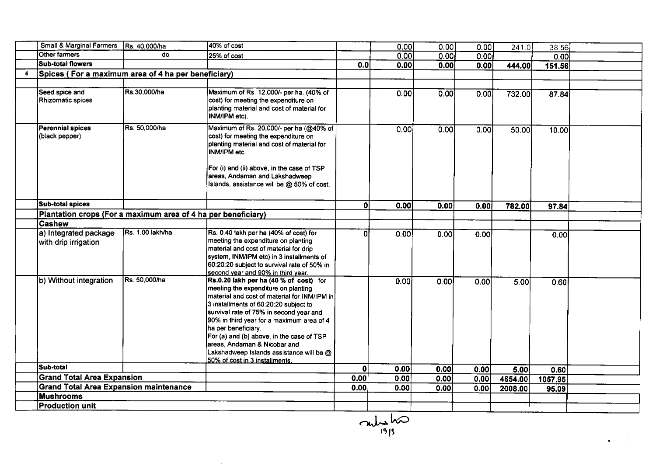|   | Small & Marginal Farmers                                      | Rs. 40,000/ha    | 40% of cost                                                                                                                                                                                                                                                                                                                                                                                                                                      |      | 0.00              | 0.00 | 0.00 | 241.0   | 38.56   |  |
|---|---------------------------------------------------------------|------------------|--------------------------------------------------------------------------------------------------------------------------------------------------------------------------------------------------------------------------------------------------------------------------------------------------------------------------------------------------------------------------------------------------------------------------------------------------|------|-------------------|------|------|---------|---------|--|
|   | Other farmers                                                 | do               | 25% of cost                                                                                                                                                                                                                                                                                                                                                                                                                                      |      | 0.00              | 0.00 | 0.00 |         | 0.00    |  |
|   | <b>Sub-total flowers</b>                                      |                  |                                                                                                                                                                                                                                                                                                                                                                                                                                                  | 0.0  | 0.00              | 0.00 | 0.00 | 444.00  | 151.56  |  |
| 4 | Spices (For a maximum area of 4 ha per beneficiary)           |                  |                                                                                                                                                                                                                                                                                                                                                                                                                                                  |      |                   |      |      |         |         |  |
|   |                                                               |                  |                                                                                                                                                                                                                                                                                                                                                                                                                                                  |      |                   |      |      |         |         |  |
|   | Seed spice and<br>Rhizomatic spices                           | Rs.30,000/ha     | Maximum of Rs. 12,000/- per ha. (40% of<br>cost) for meeting the expenditure on<br>planting material and cost of material for<br>INM/IPM etc).                                                                                                                                                                                                                                                                                                   |      | 0.00              | 0.00 | 0.00 | 732.00  | 87.84   |  |
|   | <b>Perennial spices</b><br>(black pepper)                     | Rs. 50,000/ha    | Maximum of Rs. 20,000/- per ha (@40% of<br>cost) for meeting the expenditure on<br>planting material and cost of material for<br>INM/IPM etc.<br>For (i) and (ii) above, in the case of TSP<br>areas, Andaman and Lakshadweep<br>Islands, assistance will be @ 50% of cost.                                                                                                                                                                      |      | $\overline{0.00}$ | 0.00 | 0.00 | 50.00   | 10.00   |  |
|   | <b>Sub-total spices</b>                                       |                  |                                                                                                                                                                                                                                                                                                                                                                                                                                                  | ٥l   | 0.00              | 0.00 | 0.00 | 782.00  | 97.84   |  |
|   | Plantation crops (For a maximum area of 4 ha per beneficiary) |                  |                                                                                                                                                                                                                                                                                                                                                                                                                                                  |      |                   |      |      |         |         |  |
|   | <b>Cashew</b>                                                 |                  |                                                                                                                                                                                                                                                                                                                                                                                                                                                  |      |                   |      |      |         |         |  |
|   | a) Integrated package<br>with drip irrigation                 | Rs. 1.00 lakh/ha | Rs. 0.40 lakh per ha (40% of cost) for<br>meeting the expenditure on planting<br>material and cost of material for drip<br>system, INM/IPM etc) in 3 installments of<br>60:20:20 subject to survival rate of 50% in<br>second year and 90% in third year.                                                                                                                                                                                        | n    | 0.00              | 0.00 | 0.00 |         | 0.00    |  |
|   | b) Without integration                                        | Rs. 50,000/ha    | Rs.0.20 lakh per ha (40 % of cost) for<br>meeting the expenditure on planting<br>material and cost of material for INM/IPM in<br>3 installments of 60:20:20 subject to<br>survival rate of 75% in second year and<br>90% in third year for a maximum area of 4<br>ha per beneficiary.<br>For (a) and (b) above, in the case of TSP<br>areas, Andaman & Nicobar and<br>Lakshadweep Islands assistance will be @<br>50% of cost in 3 installments. |      | 0.001             | 0.00 | 0.00 | 5.00    | 0.60    |  |
|   | Sub-total                                                     |                  |                                                                                                                                                                                                                                                                                                                                                                                                                                                  | ΩI   | 0.00              | 0.00 | 0.00 | 5.00    | 0.60    |  |
|   | <b>Grand Total Area Expansion</b>                             |                  |                                                                                                                                                                                                                                                                                                                                                                                                                                                  | 0.00 | 0.00              | 0.00 | 0.00 | 4654.00 | 1057.95 |  |
|   | <b>Grand Total Area Expansion maintenance</b>                 |                  |                                                                                                                                                                                                                                                                                                                                                                                                                                                  | 0.00 | 0.00              | 0.00 | 0.00 | 2008.00 | 95.09   |  |
|   | <b>Mushrooms</b>                                              |                  |                                                                                                                                                                                                                                                                                                                                                                                                                                                  |      |                   |      |      |         |         |  |
|   | <b>Production unit</b>                                        |                  |                                                                                                                                                                                                                                                                                                                                                                                                                                                  |      |                   |      |      |         |         |  |

 $\sim$ 

 $\frac{1}{\sqrt{2\pi}}$ re ls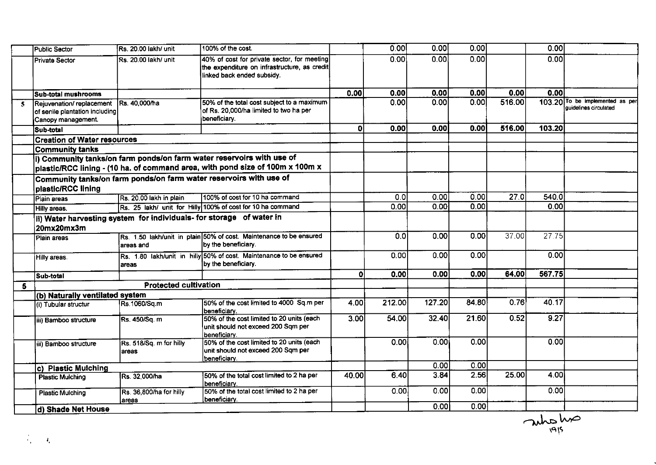|    | Public Sector                                                                    | Rs. 20.00 lakh/ unit                                                 | 100% of the cost.                                                                                                                                      |          | 0.00   | 0.00              | 0.00              |        | 0.00   |                                                          |
|----|----------------------------------------------------------------------------------|----------------------------------------------------------------------|--------------------------------------------------------------------------------------------------------------------------------------------------------|----------|--------|-------------------|-------------------|--------|--------|----------------------------------------------------------|
|    | Private Sector                                                                   | Rs. 20.00 lakh/ unit                                                 | 40% of cost for private sector, for meeting<br>the expenditure on infrastructure, as credit<br>linked back ended subsidy.                              |          | 0.00   | 0.00              | 0.00              |        | 0.00   |                                                          |
|    | İSub-total mushrooms                                                             |                                                                      |                                                                                                                                                        | 0.00     | 0.00   | 0.00              | 0.00              | 0.00   | 0.00   |                                                          |
| 5. | Rejuvenation/replacement<br>of senile plantation including<br>Canopy management. | Rs. 40,000/ha                                                        | 50% of the total cost subject to a maximum<br>of Rs. 20,000/ha limited to two ha per<br>beneficiary.                                                   |          | 0.00   | 0.00              | 0.00              | 516.00 |        | 103.20 To be implemented as per<br>quidelines circulated |
|    | Sub-total                                                                        |                                                                      |                                                                                                                                                        | οl       | 0.00   | 0.00              | 0.00              | 516.00 | 103.20 |                                                          |
|    | <b>Creation of Water resources</b>                                               |                                                                      |                                                                                                                                                        |          |        |                   |                   |        |        |                                                          |
|    | <b>Community tanks</b>                                                           |                                                                      |                                                                                                                                                        |          |        |                   |                   |        |        |                                                          |
|    |                                                                                  |                                                                      | i) Community tanks/on farm ponds/on farm water reservoirs with use of<br>plastic/RCC lining - (10 ha. of command area, with pond size of 100m x 100m x |          |        |                   |                   |        |        |                                                          |
|    | plastic/RCC lining                                                               |                                                                      | Community tanks/on farm ponds/on farm water reservoirs with use of                                                                                     |          |        |                   |                   |        |        |                                                          |
|    | Plain areas                                                                      | Rs. 20.00 lakh in plain                                              | 100% of cost for 10 ha command                                                                                                                         |          | 0.0    | 0.00              | 0.00              | 27.0   | 540.0  |                                                          |
|    | Hilly areas.                                                                     |                                                                      | Rs. 25 lakh/ unit for Hilly 100% of cost for 10 ha command                                                                                             |          | 0.00   | 0.00              | 0.00              |        | 0.00   |                                                          |
|    | 20mx20mx3m                                                                       | ii) Water harvesting system for individuals- for storage of water in |                                                                                                                                                        |          |        |                   |                   |        |        |                                                          |
|    | Plain areas                                                                      | areas and                                                            | Rs. 1.50 lakh/unit in plain 50% of cost. Maintenance to be ensured<br>by the beneficiary.                                                              |          | 0.0    | 0.00              | 0.00              | 37.00  | 27.75  |                                                          |
|    | Hilly areas.                                                                     | areas                                                                | Rs. 1.80 lakh/unit in hilly 50% of cost. Maintenance to be ensured<br>by the beneficiary.                                                              |          | 0.00   | 0.00              | 0.00              |        | 0.00   |                                                          |
|    | Sub-total                                                                        |                                                                      |                                                                                                                                                        | $\Omega$ | 0.00   | 0.00              | 0.00              | 64.00  | 567.75 |                                                          |
| 5  |                                                                                  | <b>Protected cultivation</b>                                         |                                                                                                                                                        |          |        |                   |                   |        |        |                                                          |
|    | (b) Naturally ventilated system                                                  |                                                                      |                                                                                                                                                        |          |        |                   |                   |        |        |                                                          |
|    | (i) Tubular structur                                                             | Rs.1060/Sq.m                                                         | 50% of the cost limited to 4000 Sq.m per<br>beneficiary.                                                                                               | 4.001    | 212.00 | 127.20            | 84.80             | 0.76   | 40.17  |                                                          |
|    | iii) Bamboo structure                                                            | Rs. 450/Sq. m                                                        | 50% of the cost limited to 20 units (each<br>unit should not exceed 200 Sqm per<br>beneficiary.                                                        | 3.00     | 54.00  | 32.40             | 21.60             | 0.52   | 9.27   |                                                          |
|    | iii) Bamboo structure                                                            | Rs. 518/Sq. m for hilly<br>areas                                     | 50% of the cost limited to 20 units (each<br>unit should not exceed 200 Sqm per<br>beneficiarv.                                                        |          | 0.001  | 0.00 <sub>l</sub> | 0.00 <sub>l</sub> |        | 0.00   |                                                          |
|    | c) Plastic Mulching                                                              |                                                                      |                                                                                                                                                        |          |        | 0.00              | 0.00              |        |        |                                                          |
|    | <b>Plastic Mulching</b>                                                          | Rs. 32,000/ha                                                        | 50% of the total cost limited to 2 ha per<br>Ibeneficiarv.                                                                                             | 40.00    | 6.40   | 3.84              | 2.56              | 25.00  | 4.00   |                                                          |
|    | <b>Plastic Mulching</b>                                                          | Rs. 36,800/ha for hilly<br>areas                                     | 50% of the total cost limited to 2 ha per<br>lbeneficiarv.                                                                                             |          | 0.00   | 0.00              | 0.00              |        | 0.00   |                                                          |
|    | d) Shade Net House                                                               |                                                                      |                                                                                                                                                        |          |        | 0.001             | 0.00              |        |        |                                                          |

autolis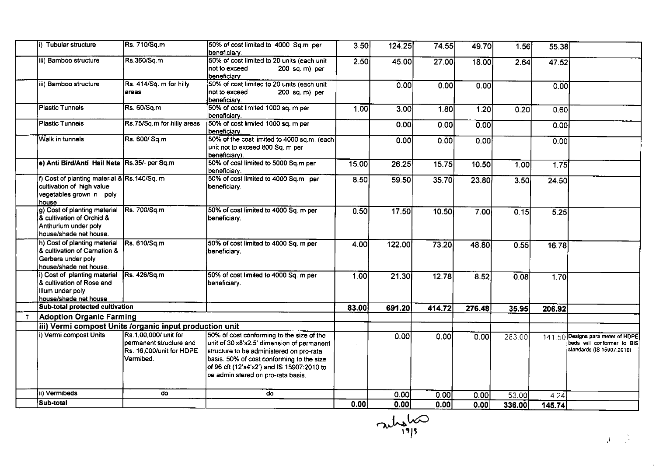|              | i) Tubular structure                                                                                          | Rs. 710/Sq.m                                                                              | 50% of cost limited to 4000 Sq.m per<br>beneficiary.                                                                                                                                                                                                                 | 3.50  | 124.25 | 74.55  | 49.70  | 1.56   | 55.38  |                                                                                              |
|--------------|---------------------------------------------------------------------------------------------------------------|-------------------------------------------------------------------------------------------|----------------------------------------------------------------------------------------------------------------------------------------------------------------------------------------------------------------------------------------------------------------------|-------|--------|--------|--------|--------|--------|----------------------------------------------------------------------------------------------|
|              | iii) Bamboo structure                                                                                         | Rs.360/Sq.m                                                                               | 50% of cost limited to 20 units (each unit<br>not to exceed<br>200 sq. m) per<br>beneficiary.                                                                                                                                                                        | 2.50  | 45.00  | 27.00  | 18.00  | 2.64   | 47.52  |                                                                                              |
|              | iii) Bamboo structure                                                                                         | Rs. 414/Sq. m for hilly<br>lareas                                                         | 50% of cost limited to 20 units (each unit<br>not to exceed<br>$200$ sq. m) per<br>beneficiary.                                                                                                                                                                      |       | 0.00   | 0.00   | 0.00   |        | 0.00   |                                                                                              |
|              | <b>Plastic Tunnels</b>                                                                                        | Rs. 60/Sq.m                                                                               | 50% of cost limited 1000 sq. m per<br>beneficiary.                                                                                                                                                                                                                   | 1.00  | 3.00   | 1.80   | 1.20   | 0.20   | 0.60   |                                                                                              |
|              | <b>Plastic Tunnels</b>                                                                                        | Rs.75/Sq.m for hilly areas.                                                               | 50% of cost limited 1000 sq. m per<br>beneficiary.                                                                                                                                                                                                                   |       | 0.00   | 0.00   | 0.00   |        | 0.00   |                                                                                              |
|              | Walk in tunnels                                                                                               | Rs. 600/ Sq.m                                                                             | 50% of the cost limited to 4000 sq.m. (each<br>unit not to exceed 800 Sq. m per<br>beneficiary).                                                                                                                                                                     |       | 0.00   | 0.00   | 0.00   |        | 0.00   |                                                                                              |
|              | e) Anti Bird/Anti Hail Nets Rs.35/- per Sq.m                                                                  |                                                                                           | 50% of cost limited to 5000 Sq.m per<br>beneficiary.                                                                                                                                                                                                                 | 15.00 | 26.25  | 15.75  | 10.50  | 1.00   | 1.75   |                                                                                              |
|              | f) Cost of planting material & Rs.140/Sq. m<br>cultivation of high value<br>vegetables grown in poly<br>house |                                                                                           | 50% of cost limited to 4000 Sq.m per<br>beneficiary                                                                                                                                                                                                                  | 8.50  | 59.50  | 35.70  | 23.80  | 3.50   | 24.50  |                                                                                              |
|              | g) Cost of planting material<br>& cultivation of Orchid &<br>Anthurium under poly<br>house/shade net house.   | Rs. 700/Sq.m                                                                              | 50% of cost limited to 4000 Sq. m per<br>beneficiary.                                                                                                                                                                                                                | 0.50  | 17.50  | 10.50  | 7.00   | 0.15   | 5.25   |                                                                                              |
|              | h) Cost of planting material<br>& cultivation of Carnation &<br>Gerbera under poly<br>house/shade net house.  | Rs. 610/Sq.m                                                                              | 50% of cost limited to 4000 Sq. m per<br>beneficiary.                                                                                                                                                                                                                | 4.00  | 122.00 | 73.20  | 48.80  | 0.55   | 16.78  |                                                                                              |
|              | i) Cost of planting material<br>& cultivation of Rose and<br>lilum under poly<br>house/shade net house        | Rs. 426/Sq.m                                                                              | 50% of cost limited to 4000 Sq. m per<br>beneficiary.                                                                                                                                                                                                                | 1.00  | 21.30  | 12.78  | 8.52   | 0.08   | 1.70   |                                                                                              |
|              | Sub-total protected cultivation                                                                               |                                                                                           |                                                                                                                                                                                                                                                                      | 83.00 | 691.20 | 414.72 | 276.48 | 35.95  | 206.92 |                                                                                              |
| $\mathbf{7}$ | <b>Adoption Organic Farming</b>                                                                               |                                                                                           |                                                                                                                                                                                                                                                                      |       |        |        |        |        |        |                                                                                              |
|              | iii) Vermi compost Units /organic input production unit                                                       |                                                                                           |                                                                                                                                                                                                                                                                      |       |        |        |        |        |        |                                                                                              |
|              | i) Vermi compost Units                                                                                        | Rs.1,00,000/ unit for<br>permanent structure and<br>Rs. 16,000/unit for HDPE<br>Vermibed. | 50% of cost conforming to the size of the<br>unit of 30'x8'x2.5' dimension of permanent<br>structure to be administered on pro-rata<br>basis. 50% of cost conforming to the size<br>of 96 cft (12'x4'x2') and IS 15907:2010 to<br>be administered on pro-rata basis. |       | 0.00   | 0.00   | 0.00   | 283.00 |        | 141.50 Designs para meter of HDPE<br>beds will conformer to BIS<br>standards (IS 15907:2010) |
|              | ii) Vermibeds                                                                                                 | do                                                                                        | do                                                                                                                                                                                                                                                                   |       | 0.00   | 0.00   | 0.00   | 53.00  | 4.24   |                                                                                              |
|              | Sub-total                                                                                                     |                                                                                           |                                                                                                                                                                                                                                                                      | 0.00  | 0.00   | 0.00   | 0.00   | 336.00 | 145.74 |                                                                                              |

 $\nabla$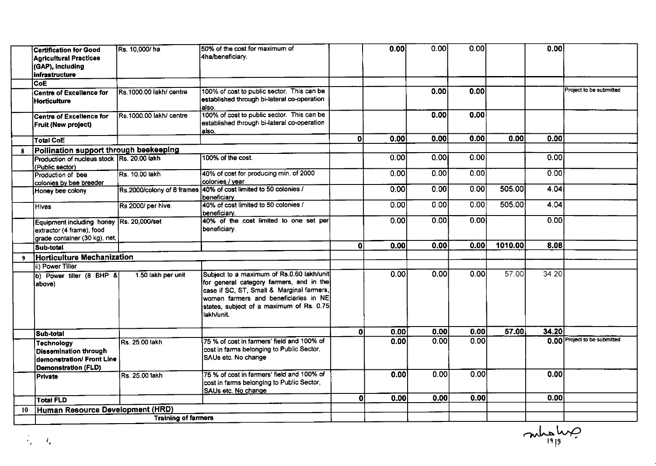|          | <b>Certification for Good</b><br><b>Agricultural Practices</b><br>(GAP), Including<br>infrastructure               | Rs. 10,000/ha              | 50% of the cost for maximum of<br>4ha/beneficiary                                                                                                                                                                                     |              | 0.00 | 0.00 | 0.00 |         | 0.00             |                              |
|----------|--------------------------------------------------------------------------------------------------------------------|----------------------------|---------------------------------------------------------------------------------------------------------------------------------------------------------------------------------------------------------------------------------------|--------------|------|------|------|---------|------------------|------------------------------|
|          | <b>CoE</b>                                                                                                         |                            |                                                                                                                                                                                                                                       |              |      |      |      |         |                  |                              |
|          | <b>Centre of Excellence for</b><br><b>Horticulture</b>                                                             | Rs.1000.00 lakh/ centre    | 100% of cost to public sector. This can be<br>established through bi-lateral co-operation<br>also.                                                                                                                                    |              |      | 0.00 | 0.00 |         |                  | Project to be submitted      |
|          | <b>Centre of Excellence for</b><br><b>Fruit (New project)</b>                                                      | Rs.1000.00 lakh/ centre    | 100% of cost to public sector. This can be<br>established through bi-lateral co-operation<br>also.                                                                                                                                    |              |      | 0.00 | 0.00 |         |                  |                              |
|          | <b>Total CoE</b>                                                                                                   |                            |                                                                                                                                                                                                                                       | $\mathbf{0}$ | 0.00 | 0.00 | 0.00 | 0.00    | 0.00             |                              |
| $\bf{8}$ | Pollination support through beekeeping                                                                             |                            |                                                                                                                                                                                                                                       |              |      |      |      |         |                  |                              |
|          | Production of nucleus stock Rs. 20.00 lakh<br>(Public sector)                                                      |                            | 100% of the cost.                                                                                                                                                                                                                     |              | 0.00 | 0.00 | 0.00 |         | 0.001            |                              |
|          | Production of bee<br>colonies by bee breeder                                                                       | <b>Rs. 10.00 lakh</b>      | 40% of cost for producing min. of 2000<br>colonies / year                                                                                                                                                                             |              | 0.00 | 0.00 | 0.00 |         | 0.00             |                              |
|          | Honey bee colony                                                                                                   |                            | Rs.2000/colony of 8 frames 40% of cost limited to 50 colonies /<br>beneficiarv.                                                                                                                                                       |              | 0.00 | 0.00 | 0.00 | 505.00  | 4.04             |                              |
|          | <b>Hives</b>                                                                                                       | Rs 2000/ per hive.         | 40% of cost limited to 50 colonies /<br>beneficiarv.                                                                                                                                                                                  |              | 0.00 | 0.00 | 0.00 | 505.00  | 4.04             |                              |
|          | Equipment including honey Rs. 20,000/set<br>extractor (4 frame), food<br>grade container (30 kg), net,             |                            | 40% of the cost limited to one set per<br>beneficiary.                                                                                                                                                                                |              | 0.00 | 0.00 | 0.00 |         | 0.00             |                              |
|          | Sub-total                                                                                                          |                            |                                                                                                                                                                                                                                       | $\mathbf{0}$ | 0.00 | 0.00 | 0.00 | 1010.00 | 8.08             |                              |
| 9        | <b>Horticulture Mechanization</b>                                                                                  |                            |                                                                                                                                                                                                                                       |              |      |      |      |         |                  |                              |
|          | ii) Power Tiller                                                                                                   |                            |                                                                                                                                                                                                                                       |              |      |      |      |         |                  |                              |
|          | b) Power tiller (8 BHP &<br>above)                                                                                 | 1.50 lakh per unit         | Subject to a maximum of Rs.0.60 lakh/unit<br>for general category farmers, and in the<br>case if SC, ST, Small & Marginal farmers,<br>women farmers and beneficiaries in NE<br>states, subject of a maximum of Rs. 0.75<br>lakh/unit. |              | 0.00 | 0.00 | 0.00 | 57.00   | 34.20            |                              |
|          |                                                                                                                    |                            |                                                                                                                                                                                                                                       | $\mathbf{0}$ | 0.00 | 0.00 | 0.00 | 57.00   | 34.20            |                              |
|          | Sub-total<br><b>Technology</b><br>Dissemination through<br>demonstration/ Front Line<br><b>Demonstration (FLD)</b> | Rs. 25.00 lakh             | 75 % of cost in farmers' field and 100% of<br>cost in farms belonging to Public Sector,<br>SAUs etc. No change                                                                                                                        |              | 0.00 | 0.00 | 0.00 |         |                  | 0.00 Project to be submitted |
|          | Private                                                                                                            | Rs. 25.00 lakh             | 75 % of cost in farmers' field and 100% of<br>cost in farms belonging to Public Sector,<br>SAUs etc. No change                                                                                                                        |              | 0.00 | 0.00 | 0.00 |         | 0.00             |                              |
|          | <b>Total FLD</b>                                                                                                   |                            |                                                                                                                                                                                                                                       | $\mathbf{0}$ | 0.00 | 0.00 | 0.00 |         | 0.00             |                              |
| 10       | Human Resource Development (HRD)                                                                                   |                            |                                                                                                                                                                                                                                       |              |      |      |      |         |                  |                              |
|          |                                                                                                                    | <b>Training of farmers</b> |                                                                                                                                                                                                                                       |              |      |      |      |         |                  |                              |
|          | $\Gamma_{\rm e}$                                                                                                   |                            |                                                                                                                                                                                                                                       |              |      |      |      |         | $C_{\text{max}}$ |                              |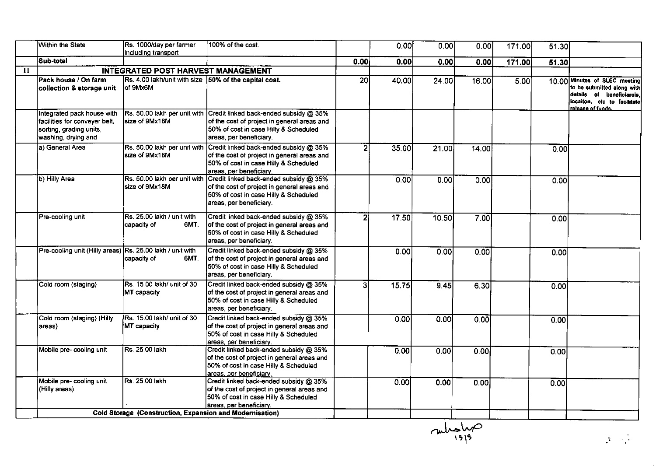|              | <b>Within the State</b>                                                                                       | Rs. 1000/day per farmer<br>including transport                    | 100% of the cost.                                                                                                                                                                      |      | 0.00  | 0.00  | 0.00  | 171.00 | $\overline{51.30}$ |                                                                                                                                              |
|--------------|---------------------------------------------------------------------------------------------------------------|-------------------------------------------------------------------|----------------------------------------------------------------------------------------------------------------------------------------------------------------------------------------|------|-------|-------|-------|--------|--------------------|----------------------------------------------------------------------------------------------------------------------------------------------|
|              | Sub-total                                                                                                     |                                                                   |                                                                                                                                                                                        | 0.00 | 0.00  | 0.00  | 0.00  | 171.00 | 51.30              |                                                                                                                                              |
| $\mathbf{u}$ |                                                                                                               | INTEGRATED POST HARVEST MANAGEMENT                                |                                                                                                                                                                                        |      |       |       |       |        |                    |                                                                                                                                              |
|              | Pack house / On farm<br>collection & storage unit                                                             | Rs. 4.00 lakh/unit with size 50% of the capital cost.<br>of 9Mx6M |                                                                                                                                                                                        | 20   | 40.00 | 24.00 | 16.00 | 5.00   |                    | 10.00 Minutes of SLEC meeting<br>to be submitted along with<br>details of beneficiareis,<br>locaiton, etc to facilitate<br>release of funds. |
|              | Integrated pack house with<br>facilities for conveyer belt.<br>sorting, grading units,<br>washing, drying and | Rs. 50.00 lakh per unit with<br>size of 9Mx18M                    | Credit linked back-ended subsidy @ 35%<br>of the cost of project in general areas and<br>50% of cost in case Hilly & Scheduled<br>areas, per beneficiary.                              |      |       |       |       |        |                    |                                                                                                                                              |
|              | a) General Area                                                                                               | size of 9Mx18M                                                    | Rs. 50.00 lakh per unit with Credit linked back-ended subsidy @ 35%<br>of the cost of project in general areas and<br>50% of cost in case Hilly & Scheduled<br>areas, per beneficiary. |      | 35.00 | 21.00 | 14.00 |        | 0.00               |                                                                                                                                              |
|              | b) Hilly Area                                                                                                 | Rs. 50.00 lakh per unit with<br>size of 9Mx18M                    | Credit linked back-ended subsidy @ 35%<br>of the cost of project in general areas and<br>50% of cost in case Hilly & Scheduled<br>areas, per beneficiary.                              |      | 0.00  | 0.00  | 0.00  |        | 0.00               |                                                                                                                                              |
|              | Pre-cooling unit                                                                                              | Rs. 25.00 lakh / unit with<br>capacity of<br>6MT.                 | Credit linked back-ended subsidy @ 35%<br>of the cost of project in general areas and<br>50% of cost in case Hilly & Scheduled<br>areas, per beneficiary.                              | 21   | 17.50 | 10.50 | 7.00  |        | 0.00               |                                                                                                                                              |
|              | Pre-cooling unit (Hilly areas) Rs. 25.00 lakh / unit with                                                     | capacity of<br>6MT.                                               | Credit linked back-ended subsidy @ 35%<br>of the cost of project in general areas and<br>50% of cost in case Hilly & Scheduled<br>areas, per beneficiary.                              |      | 0.00  | 0.00  | 0.00  |        | 0.00               |                                                                                                                                              |
|              | Cold room (staging)                                                                                           | Rs. 15.00 lakh/ unit of 30<br>MT capacity                         | Credit linked back-ended subsidy @ 35%<br>of the cost of project in general areas and<br>50% of cost in case Hilly & Scheduled<br>areas, per beneficiary.                              | э    | 15.75 | 9.45  | 6.30  |        | 0.00               |                                                                                                                                              |
|              | Cold room (staging) (Hilly<br>areas)                                                                          | Rs. 15.00 lakh/ unit of 30<br>MT capacity                         | Credit linked back-ended subsidy @ 35%<br>of the cost of project in general areas and<br>50% of cost in case Hilly & Scheduled<br>areas, per beneficiary.                              |      | 0.00  | 0.00  | 0.00  |        | 0.00               |                                                                                                                                              |
|              | Mobile pre- cooling unit                                                                                      | Rs. 25.00 lakh                                                    | Credit linked back-ended subsidy @ 35%<br>of the cost of project in general areas and<br>50% of cost in case Hilly & Scheduled<br>areas, per beneficiary.                              |      | 0.00  | 0.00  | 0.00  |        | 0.00               |                                                                                                                                              |
|              | Mobile pre- cooling unit<br>(Hilly areas)                                                                     | Rs. 25.00 lakh                                                    | Credit linked back-ended subsidy @ 35%<br>of the cost of project in general areas and<br>50% of cost in case Hilly & Scheduled<br>areas, per beneficiary.                              |      | 0.00  | 0.00  | 0.00  |        | 0.00               |                                                                                                                                              |
|              |                                                                                                               | Cold Storage (Construction, Expansion and Modernisation)          |                                                                                                                                                                                        |      |       |       |       |        |                    |                                                                                                                                              |

 $\frac{2}{\sqrt{1915}}$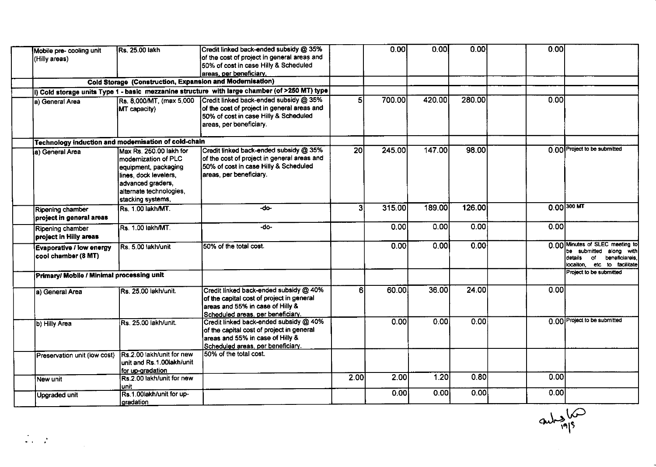| Mobile pre-cooling unit<br>(Hilly areas)               | Rs. 25.00 lakh                                                                                                                                                         | Credit linked back-ended subsidy @ 35%<br>of the cost of project in general areas and<br>50% of cost in case Hilly & Scheduled                               |                 | 0.00   | 0.00   | 0.00   | 0.00 |                                                                                                                              |
|--------------------------------------------------------|------------------------------------------------------------------------------------------------------------------------------------------------------------------------|--------------------------------------------------------------------------------------------------------------------------------------------------------------|-----------------|--------|--------|--------|------|------------------------------------------------------------------------------------------------------------------------------|
|                                                        |                                                                                                                                                                        | areas, per beneficiary.                                                                                                                                      |                 |        |        |        |      |                                                                                                                              |
|                                                        | Cold Storage (Construction, Expansion and Modernisation)                                                                                                               |                                                                                                                                                              |                 |        |        |        |      |                                                                                                                              |
|                                                        |                                                                                                                                                                        | i) Cold storage units Type 1 - basic mezzanine structure with large chamber (of >250 MT) type                                                                |                 |        |        |        |      |                                                                                                                              |
| a) General Area                                        | Rs. 8,000/MT, (max 5,000<br><b>MT</b> capacity)                                                                                                                        | Credit linked back-ended subsidy @ 35%<br>of the cost of project in general areas and<br>50% of cost in case Hilly & Scheduled<br>areas, per beneficiary.    | 51              | 700.00 | 420.00 | 280.00 | 0.00 |                                                                                                                              |
| Technology induction and modernisation of cold-chain   |                                                                                                                                                                        |                                                                                                                                                              |                 |        |        |        |      |                                                                                                                              |
| a) General Area                                        | lMax Rs. 250.00 lakh for<br>modernization of PLC<br>equipment, packaging<br>lines, dock levelers,<br>advanced graders,<br>alternate technologies,<br>stacking systems, | Credit linked back-ended subsidy @ 35%<br>of the cost of project in general areas and<br>50% of cost in case Hilly & Scheduled<br>areas, per beneficiary.    | $\overline{20}$ | 245.00 | 147.00 | 98.00  |      | 0.00 Project to be submitted                                                                                                 |
| Ripening chamber<br>project in general areas           | Rs. 1.00 lakh/MT.                                                                                                                                                      | -do-                                                                                                                                                         | 31              | 315.00 | 189.00 | 126.00 |      | $0.00$ 300 MT                                                                                                                |
| Ripening chamber<br>project in Hilly areas             | Rs. 1.00 lakh/MT.                                                                                                                                                      | -do-                                                                                                                                                         |                 | 0.00   | 0.00   | 0.00   | 0.00 |                                                                                                                              |
| <b>Evaporative / low energy</b><br>cool chamber (8 MT) | Rs. 5.00 lakh/unit                                                                                                                                                     | 50% of the total cost.                                                                                                                                       |                 | 0.00   | 0.00   | 0.00   |      | 0.00 Minutes of SLEC meeting to<br>be submitted along with<br>beneficiareis.<br>details<br>of<br>locaiton, etc to facilitate |
| Primary/ Mobile / Minimal processing unit              |                                                                                                                                                                        |                                                                                                                                                              |                 |        |        |        |      | Project to be submitted                                                                                                      |
| a) General Area                                        | Rs. 25.00 lakh/unit.                                                                                                                                                   | Credit linked back-ended subsidy @ 40%<br>of the capital cost of project in general<br>areas and 55% in case of Hilly &<br>Scheduled areas, per beneficiary. | 6               | 60.00  | 36.00  | 24.00  | 0.00 |                                                                                                                              |
| b) Hilly Area                                          | Rs. 25.00 lakh/unit.                                                                                                                                                   | Credit linked back-ended subsidy @ 40%<br>of the capital cost of project in general<br>areas and 55% in case of Hilly &<br>Scheduled areas, per beneficiary. |                 | 0.00   | 0.00   | 0.00   |      | 0.00 Project to be submitted                                                                                                 |
| Preservation unit (low cost)                           | Rs.2.00 lakh/unit for new<br>unit and Rs.1.00lakh/unit<br>for up-gradation                                                                                             | 50% of the total cost.                                                                                                                                       |                 |        |        |        |      |                                                                                                                              |
| New unit                                               | Rs.2.00 lakh/unit for new<br>unit                                                                                                                                      |                                                                                                                                                              | 2.00            | 2.00   | 1.20   | 0.80   | 0.00 |                                                                                                                              |
| <b>Upgraded unit</b>                                   | Rs.1.00lakh/unit for up-<br>gradation                                                                                                                                  |                                                                                                                                                              |                 | 0.00   | 0.00   | 0.00   | 0.00 |                                                                                                                              |

 $rac{2}{\sqrt{1-\frac{6}{19}}\sqrt{1-\frac{6}{19}}}}$